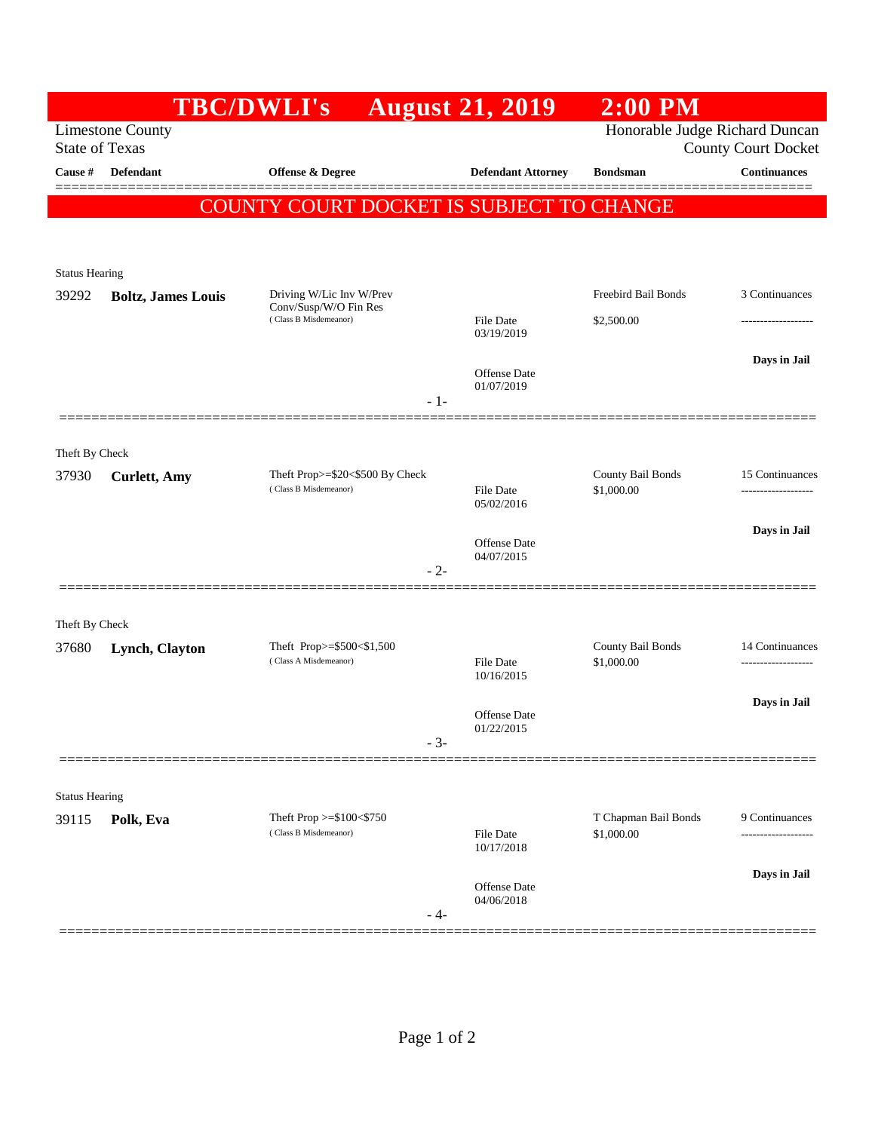|                         |                                                  | <b>TBC/DWLI's</b>                                                          | <b>August 21, 2019</b>         | $2:00$ PM                          |                                        |
|-------------------------|--------------------------------------------------|----------------------------------------------------------------------------|--------------------------------|------------------------------------|----------------------------------------|
|                         | <b>Limestone County</b><br><b>State of Texas</b> | Honorable Judge Richard Duncan<br><b>County Court Docket</b>               |                                |                                    |                                        |
| Cause #                 | Defendant                                        | <b>Offense &amp; Degree</b>                                                | <b>Defendant Attorney</b>      | <b>Bondsman</b>                    | <b>Continuances</b>                    |
|                         |                                                  | COUNTY COURT DOCKET IS SUBJECT TO CHANGE                                   |                                |                                    |                                        |
|                         |                                                  |                                                                            |                                |                                    |                                        |
| <b>Status Hearing</b>   |                                                  |                                                                            |                                |                                    |                                        |
| 39292                   | <b>Boltz, James Louis</b>                        | Driving W/Lic Inv W/Prev<br>Conv/Susp/W/O Fin Res<br>(Class B Misdemeanor) |                                | Freebird Bail Bonds                | 3 Continuances                         |
|                         |                                                  |                                                                            | <b>File Date</b><br>03/19/2019 | \$2,500.00                         |                                        |
|                         |                                                  |                                                                            |                                |                                    | Days in Jail                           |
|                         |                                                  | $-1-$                                                                      | Offense Date<br>01/07/2019     |                                    |                                        |
|                         |                                                  |                                                                            |                                |                                    |                                        |
| Theft By Check          |                                                  |                                                                            |                                |                                    |                                        |
| 37930                   | <b>Curlett</b> , Amy                             | Theft Prop>=\$20<\$500 By Check<br>(Class B Misdemeanor)                   | <b>File Date</b>               | County Bail Bonds<br>\$1,000.00    | 15 Continuances<br>------------------- |
|                         |                                                  |                                                                            | 05/02/2016                     |                                    |                                        |
|                         |                                                  |                                                                            | Offense Date                   |                                    | Days in Jail                           |
|                         |                                                  | $-2-$                                                                      | 04/07/2015                     |                                    |                                        |
|                         |                                                  |                                                                            |                                |                                    |                                        |
| Theft By Check<br>37680 | Lynch, Clayton                                   | Theft Prop>=\$500<\$1,500                                                  |                                | County Bail Bonds                  | 14 Continuances                        |
|                         |                                                  | (Class A Misdemeanor)                                                      | <b>File Date</b><br>10/16/2015 | \$1,000.00                         | -------------------                    |
|                         |                                                  |                                                                            |                                |                                    | Days in Jail                           |
|                         |                                                  |                                                                            | Offense Date<br>01/22/2015     |                                    |                                        |
|                         |                                                  | $-3-$                                                                      |                                |                                    |                                        |
| <b>Status Hearing</b>   |                                                  |                                                                            |                                |                                    |                                        |
| 39115                   | Polk, Eva                                        | Theft Prop $>=\$100<\$750$<br>(Class B Misdemeanor)                        | <b>File Date</b>               | T Chapman Bail Bonds<br>\$1,000.00 | 9 Continuances<br>----------------     |
|                         |                                                  |                                                                            | 10/17/2018                     |                                    |                                        |
|                         |                                                  |                                                                            | <b>Offense</b> Date            |                                    | Days in Jail                           |
|                         |                                                  | - 4-                                                                       | 04/06/2018                     |                                    |                                        |
|                         |                                                  |                                                                            |                                |                                    |                                        |